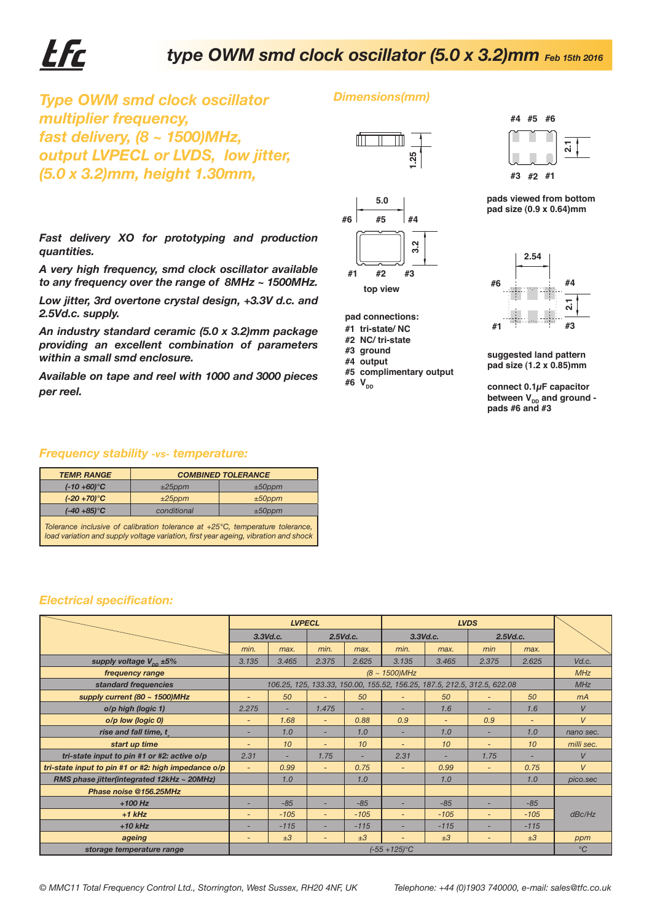# EFr

## $\tt type$  OWM smd clock oscillator (5.0 x 3.2)mm  $_{\sf Feb}$  15th 2016

*Dimensions(mm)*

*Type OWM smd clock oscillator multiplier frequency, fast delivery, (8 ~ 1500)MHz, output LVPECL or LVDS, low jitter, (5.0 x 3.2)mm, height 1.30mm,*



- **#3 ground**
- **#4 output #5 complimentary output**



**pads viewed from bottom pad size (0.9 x 0.64)mm**



#### *Frequency stability -vs- temperature:*

| <b>TEMP. RANGE</b> | <b>COMBINED TOLERANCE</b> |           |  |  |  |  |
|--------------------|---------------------------|-----------|--|--|--|--|
| $(-10 + 60)$ °C    | $±25$ ppm                 | $±50$ ppm |  |  |  |  |
| $(-20+70)$ °C      | $±25$ ppm                 | $±50$ ppm |  |  |  |  |
| $(-40 + 85)$ °C    | conditional               | $±50$ ppm |  |  |  |  |

#### *Electrical specification:*

| output LVPECL or LVDS, low jitter,                                                                                                                                                                                     |                                                                                                                                                                      |                              |                  |                          | 1.25                                                          |                          |                                 |                                                                          |                                                                                 |                     |  |
|------------------------------------------------------------------------------------------------------------------------------------------------------------------------------------------------------------------------|----------------------------------------------------------------------------------------------------------------------------------------------------------------------|------------------------------|------------------|--------------------------|---------------------------------------------------------------|--------------------------|---------------------------------|--------------------------------------------------------------------------|---------------------------------------------------------------------------------|---------------------|--|
| (5.0 x 3.2)mm, height 1.30mm,                                                                                                                                                                                          |                                                                                                                                                                      |                              |                  |                          |                                                               |                          |                                 |                                                                          | #3 #2 #1                                                                        |                     |  |
|                                                                                                                                                                                                                        |                                                                                                                                                                      |                              |                  |                          | #6<br>#5                                                      | 5.0<br>#4                |                                 |                                                                          | pads viewed from bottom<br>pad size (0.9 x 0.64)mm                              |                     |  |
| Fast delivery XO for prototyping and production<br>quantities.                                                                                                                                                         |                                                                                                                                                                      |                              |                  |                          | Ņ<br>ო                                                        |                          |                                 | 2.54                                                                     |                                                                                 |                     |  |
| A very high frequency, smd clock oscillator available<br>to any frequency over the range of 8MHz ~ 1500MHz.                                                                                                            |                                                                                                                                                                      |                              |                  | #1<br>#2                 | #3                                                            |                          | #6                              | #4                                                                       |                                                                                 |                     |  |
| Low jitter, 3rd overtone crystal design, +3.3V d.c. and<br>2.5Vd.c. supply.<br>An industry standard ceramic (5.0 x 3.2)mm package<br>providing an excellent combination of parameters<br>within a small smd enclosure. |                                                                                                                                                                      |                              |                  |                          | top view<br>pad connections:                                  |                          |                                 |                                                                          |                                                                                 |                     |  |
|                                                                                                                                                                                                                        |                                                                                                                                                                      |                              |                  |                          | #1 tri-state/NC<br>#2 NC/ tri-state<br>#3 ground<br>#4 output |                          |                                 |                                                                          | #3<br>#1<br>suggested land pattern<br>pad size (1.2 x 0.85)mm                   |                     |  |
| Available on tape and reel with 1000 and 3000 pieces<br>per reel.                                                                                                                                                      |                                                                                                                                                                      |                              |                  |                          | #6 $V_{DD}$                                                   | #5 complimentary output  |                                 |                                                                          | connect $0.1\mu$ F capacitor<br>between $V_{DD}$ and ground -<br>pads #6 and #3 |                     |  |
|                                                                                                                                                                                                                        | <b>Frequency stability -vs- temperature:</b>                                                                                                                         |                              |                  |                          |                                                               |                          |                                 |                                                                          |                                                                                 |                     |  |
| <b>TEMP. RANGE</b>                                                                                                                                                                                                     | <b>COMBINED TOLERANCE</b>                                                                                                                                            |                              |                  |                          |                                                               |                          |                                 |                                                                          |                                                                                 |                     |  |
| $(-10 + 60)$ °C                                                                                                                                                                                                        | ±25ppm                                                                                                                                                               | $±50$ ppm                    |                  |                          |                                                               |                          |                                 |                                                                          |                                                                                 |                     |  |
| $(-20+70)$ °C<br>$(-40 + 85)$ °C                                                                                                                                                                                       | $±25$ ppm<br>conditional                                                                                                                                             | $±50$ ppm<br>$±50$ ppm       |                  |                          |                                                               |                          |                                 |                                                                          |                                                                                 |                     |  |
| <b>Electrical specification:</b>                                                                                                                                                                                       | Tolerance inclusive of calibration tolerance at +25°C, temperature tolerance,<br>load variation and supply voltage variation, first year ageing, vibration and shock |                              |                  |                          |                                                               |                          |                                 |                                                                          |                                                                                 |                     |  |
|                                                                                                                                                                                                                        |                                                                                                                                                                      |                              |                  |                          |                                                               |                          |                                 |                                                                          |                                                                                 |                     |  |
|                                                                                                                                                                                                                        |                                                                                                                                                                      | <b>LVPECL</b><br>$3.3$ Vd.c. |                  | 2.5Vd.c.                 |                                                               | 3.3Vd.c.                 |                                 | <b>LVDS</b><br>2.5Vd.c.                                                  |                                                                                 |                     |  |
|                                                                                                                                                                                                                        |                                                                                                                                                                      | min.                         | max.             | min.                     | max.                                                          | min.                     | max.                            | min                                                                      | max.                                                                            |                     |  |
| supply voltage $V_{\text{op}}$ ±5%                                                                                                                                                                                     |                                                                                                                                                                      | 3.135                        | 3.465            | 2.375                    | 2.625                                                         | 3.135                    | 3.465                           | 2.375                                                                    | 2.625                                                                           | Vd.c.               |  |
| frequency range                                                                                                                                                                                                        |                                                                                                                                                                      |                              | $(8 - 1500)$ MHz |                          |                                                               |                          |                                 |                                                                          |                                                                                 | <b>MHz</b>          |  |
|                                                                                                                                                                                                                        | standard frequencies                                                                                                                                                 |                              |                  |                          |                                                               |                          |                                 | 106.25, 125, 133.33, 150.00, 155.52, 156.25, 187.5, 212.5, 312.5, 622.08 |                                                                                 | MHz                 |  |
|                                                                                                                                                                                                                        | supply current (80 $\sim$ 1500)MHz                                                                                                                                   |                              | 50               |                          | 50                                                            |                          | 50                              |                                                                          | 50                                                                              | mA                  |  |
|                                                                                                                                                                                                                        | o/p high (logic 1)                                                                                                                                                   | 2.275                        | ÷.               | 1.475                    | $\sim$                                                        | ×,                       | 1.6                             | $\sim$                                                                   | 1.6                                                                             | V                   |  |
| o/p low (logic 0)<br>rise and fall time, t                                                                                                                                                                             |                                                                                                                                                                      | $\overline{\phantom{a}}$     | 1.68<br>1.0      | $\overline{\phantom{a}}$ | 0.88<br>1.0                                                   | 0.9                      | $\overline{\phantom{a}}$<br>1.0 | 0.9                                                                      | 1.0                                                                             | $\vee$<br>nano sec. |  |
|                                                                                                                                                                                                                        |                                                                                                                                                                      | $\overline{\phantom{0}}$     | 10               |                          | 10                                                            |                          | 10 <sup>°</sup>                 |                                                                          | 10                                                                              | milli sec.          |  |
| start up time<br>tri-state input to pin #1 or #2: active o/p                                                                                                                                                           |                                                                                                                                                                      | 2.31                         | ÷.               | 1.75                     | ÷.                                                            | 2.31                     | ÷.                              | 1.75                                                                     |                                                                                 | $\vee$              |  |
|                                                                                                                                                                                                                        | tri-state input to pin #1 or #2: high impedance o/p                                                                                                                  | $\equiv$                     | 0.99             | ÷,                       | 0.75                                                          | $\equiv$                 | 0.99                            | $\equiv$                                                                 | 0.75                                                                            | V                   |  |
|                                                                                                                                                                                                                        | RMS phase jitter(integrated 12kHz ~ 20MHz)                                                                                                                           |                              | 1.0              |                          | 1.0                                                           |                          | 1.0                             |                                                                          | 1.0                                                                             | pico.sec            |  |
|                                                                                                                                                                                                                        | Phase noise @156.25MHz                                                                                                                                               |                              |                  |                          |                                                               |                          |                                 |                                                                          |                                                                                 |                     |  |
|                                                                                                                                                                                                                        | $+100$ Hz                                                                                                                                                            | ۰                            | $-85$            |                          | $-85$                                                         |                          | $-85$                           |                                                                          | $-85$                                                                           |                     |  |
|                                                                                                                                                                                                                        | $+1$ kHz                                                                                                                                                             | ÷,                           | $-105$           | $\overline{\phantom{a}}$ | $-105$                                                        |                          | $-105$                          |                                                                          | $-105$                                                                          | dBc/Hz              |  |
|                                                                                                                                                                                                                        | $+10$ kHz                                                                                                                                                            | ٠                            | $-115$           | $\overline{\phantom{m}}$ | $-115$<br>±3                                                  | $\overline{\phantom{a}}$ | $-115$                          | ٠                                                                        | $-115$                                                                          |                     |  |
|                                                                                                                                                                                                                        | ageing<br>storage temperature range                                                                                                                                  | $\overline{\phantom{0}}$     | ±3               |                          |                                                               | $(-55 + 125)$ °C         | ±3                              | $\overline{a}$                                                           | ±3                                                                              | ppm<br>$^{\circ}C$  |  |
|                                                                                                                                                                                                                        |                                                                                                                                                                      |                              |                  |                          |                                                               |                          |                                 |                                                                          |                                                                                 |                     |  |